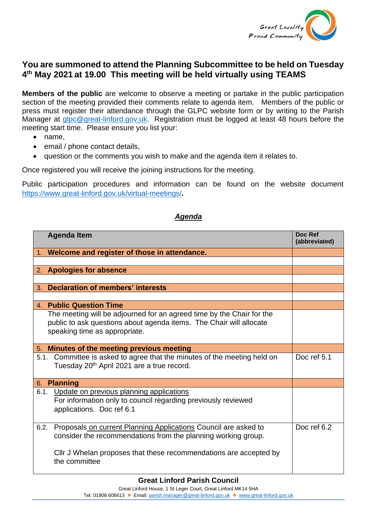

## **You are summoned to attend the Planning Subcommittee to be held on Tuesday 4 th May 2021 at 19.00 This meeting will be held virtually using TEAMS**

**Members of the public** are welcome to observe a meeting or partake in the public participation section of the meeting provided their comments relate to agenda item. Members of the public or press must register their attendance through the GLPC website form or by writing to the Parish Manager at [glpc@great-linford.gov.uk.](mailto:glpc@great-linford.gov.uk) Registration must be logged at least 48 hours before the meeting start time. Please ensure you list your:

- name,
- email / phone contact details,
- question or the comments you wish to make and the agenda item it relates to.

Once registered you will receive the joining instructions for the meeting.

Public participation procedures and information can be found on the website document <https://www.great-linford.gov.uk/virtual-meetings/>**.** 

## *Agenda*

|         | <b>Agenda Item</b>                                                                                                                                                                                                          | Doc Ref<br>(abbreviated) |
|---------|-----------------------------------------------------------------------------------------------------------------------------------------------------------------------------------------------------------------------------|--------------------------|
|         | 1. Welcome and register of those in attendance.                                                                                                                                                                             |                          |
|         |                                                                                                                                                                                                                             |                          |
|         | 2. Apologies for absence                                                                                                                                                                                                    |                          |
|         |                                                                                                                                                                                                                             |                          |
| $3_{-}$ | <b>Declaration of members' interests</b>                                                                                                                                                                                    |                          |
|         |                                                                                                                                                                                                                             |                          |
|         | 4. Public Question Time                                                                                                                                                                                                     |                          |
|         | The meeting will be adjourned for an agreed time by the Chair for the<br>public to ask questions about agenda items. The Chair will allocate<br>speaking time as appropriate.                                               |                          |
|         | 5. Minutes of the meeting previous meeting                                                                                                                                                                                  |                          |
| 5.1.    | Committee is asked to agree that the minutes of the meeting held on<br>Tuesday 20 <sup>th</sup> April 2021 are a true record.                                                                                               | Doc ref 5.1              |
|         | 6. Planning                                                                                                                                                                                                                 |                          |
|         | 6.1. Update on previous planning applications<br>For information only to council regarding previously reviewed<br>applications. Doc ref 6.1                                                                                 |                          |
|         | 6.2. Proposals on current Planning Applications Council are asked to<br>consider the recommendations from the planning working group.<br>Cllr J Whelan proposes that these recommendations are accepted by<br>the committee | Doc ref 6.2              |